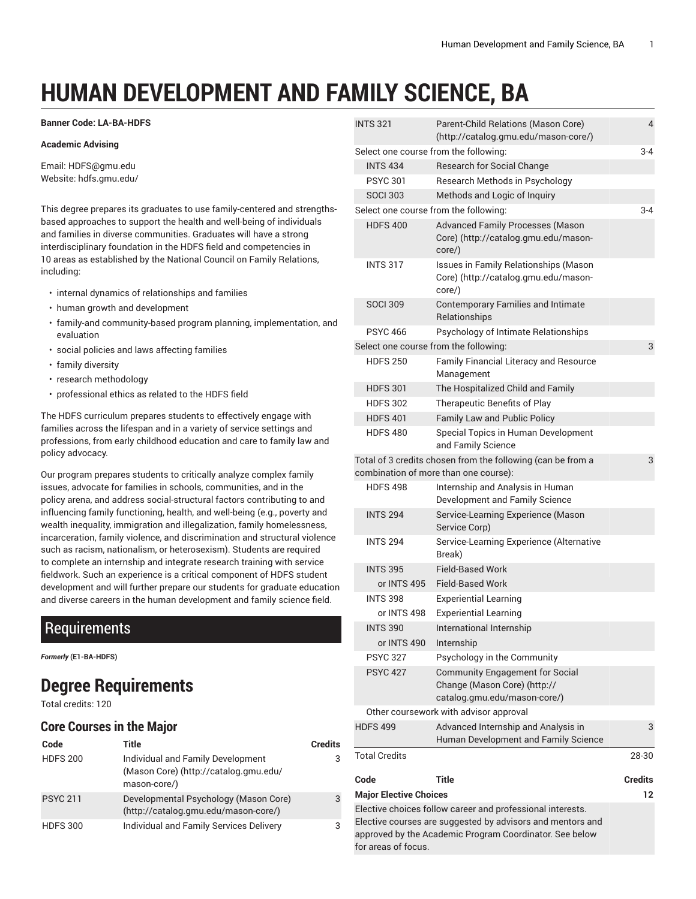# **HUMAN DEVELOPMENT AND FAMILY SCIENCE, BA**

#### **Banner Code: LA-BA-HDFS**

#### **Academic Advising**

Email: [HDFS@gmu.edu](mailto:HDFS@gmu.edu) Website: hdfs.gmu.edu/

This degree prepares its graduates to use family-centered and strengthsbased approaches to support the health and well-being of individuals and families in diverse communities. Graduates will have a strong interdisciplinary foundation in the HDFS field and competencies in 10 areas as established by the National Council on Family Relations, including:

- internal dynamics of relationships and families
- human growth and development
- family-and community-based program planning, implementation, and evaluation
- social policies and laws affecting families
- family diversity
- research methodology
- professional ethics as related to the HDFS field

The HDFS curriculum prepares students to effectively engage with families across the lifespan and in a variety of service settings and professions, from early childhood education and care to family law and policy advocacy.

Our program prepares students to critically analyze complex family issues, advocate for families in schools, communities, and in the policy arena, and address social-structural factors contributing to and influencing family functioning, health, and well-being (e.g., poverty and wealth inequality, immigration and illegalization, family homelessness, incarceration, family violence, and discrimination and structural violence such as racism, nationalism, or heterosexism). Students are required to complete an internship and integrate research training with service fieldwork. Such an experience is a critical component of HDFS student development and will further prepare our students for graduate education and diverse careers in the human development and family science field.

### Requirements

*Formerly* **(E1-BA-HDFS)**

## **Degree Requirements**

Total credits: 120

#### **Core Courses in the Major**

| Code            | Title                                                                                      | <b>Credits</b> |
|-----------------|--------------------------------------------------------------------------------------------|----------------|
| <b>HDFS 200</b> | Individual and Family Development<br>(Mason Core) (http://catalog.gmu.edu/<br>mason-core/) | 3              |
| <b>PSYC 211</b> | Developmental Psychology (Mason Core)<br>(http://catalog.gmu.edu/mason-core/)              | 3              |
| <b>HDFS 300</b> | Individual and Family Services Delivery                                                    | 3              |

| <b>INTS 321</b>                       | Parent-Child Relations (Mason Core)<br>(http://catalog.gmu.edu/mason-core/)                                              | 4       |
|---------------------------------------|--------------------------------------------------------------------------------------------------------------------------|---------|
| Select one course from the following: |                                                                                                                          | $3 - 4$ |
| <b>INTS 434</b>                       | <b>Research for Social Change</b>                                                                                        |         |
| <b>PSYC 301</b>                       | Research Methods in Psychology                                                                                           |         |
| <b>SOCI 303</b>                       | Methods and Logic of Inquiry                                                                                             |         |
| Select one course from the following: |                                                                                                                          | $3 - 4$ |
| <b>HDFS 400</b>                       | <b>Advanced Family Processes (Mason</b><br>Core) (http://catalog.gmu.edu/mason-<br>core/)                                |         |
| <b>INTS 317</b>                       | Issues in Family Relationships (Mason<br>Core) (http://catalog.gmu.edu/mason-<br>core/)                                  |         |
| <b>SOCI 309</b>                       | <b>Contemporary Families and Intimate</b><br>Relationships                                                               |         |
| <b>PSYC 466</b>                       | Psychology of Intimate Relationships                                                                                     |         |
| Select one course from the following: |                                                                                                                          | 3       |
| <b>HDFS 250</b>                       | Family Financial Literacy and Resource<br>Management                                                                     |         |
| <b>HDFS 301</b>                       | The Hospitalized Child and Family                                                                                        |         |
| <b>HDFS 302</b>                       | Therapeutic Benefits of Play                                                                                             |         |
| <b>HDFS 401</b>                       | Family Law and Public Policy                                                                                             |         |
| <b>HDFS480</b>                        | Special Topics in Human Development<br>and Family Science                                                                |         |
|                                       | Total of 3 credits chosen from the following (can be from a<br>combination of more than one course):                     | 3       |
| <b>HDFS498</b>                        | Internship and Analysis in Human<br>Development and Family Science                                                       |         |
| <b>INTS 294</b>                       | Service-Learning Experience (Mason<br>Service Corp)                                                                      |         |
| <b>INTS 294</b>                       | Service-Learning Experience (Alternative<br>Break)                                                                       |         |
| <b>INTS 395</b>                       | <b>Field-Based Work</b>                                                                                                  |         |
| or INTS 495                           | <b>Field-Based Work</b>                                                                                                  |         |
| <b>INTS 398</b>                       | <b>Experiential Learning</b>                                                                                             |         |
| or INTS 498                           | <b>Experiential Learning</b>                                                                                             |         |
| <b>INTS 390</b>                       | International Internship                                                                                                 |         |
| or INTS 490                           | Internship                                                                                                               |         |
| <b>PSYC 327</b>                       | Psychology in the Community                                                                                              |         |
| <b>PSYC 427</b>                       | <b>Community Engagement for Social</b><br>Change (Mason Core) (http://<br>catalog.gmu.edu/mason-core/)                   |         |
|                                       | Other coursework with advisor approval                                                                                   |         |
| <b>HDFS 499</b>                       | Advanced Internship and Analysis in                                                                                      | 3       |
|                                       | Human Development and Family Science                                                                                     |         |
| <b>Total Credits</b>                  |                                                                                                                          | 28-30   |
| Code                                  | Title                                                                                                                    | Credits |
| <b>Major Elective Choices</b>         |                                                                                                                          | 12      |
|                                       | Elective choices follow career and professional interests.<br>Elective courses are suggested by advisors and mentors and |         |
| for areas of focus.                   | approved by the Academic Program Coordinator. See below                                                                  |         |
|                                       |                                                                                                                          |         |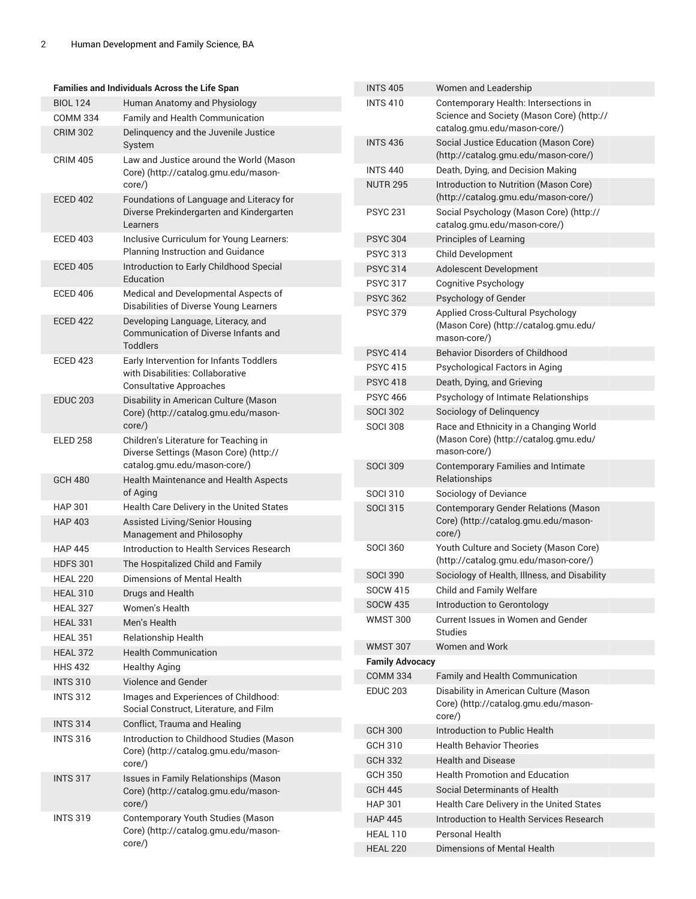| Families and Individuals Across the Life Span   |                                                                                 | <b>INTS 405</b>        | Women and Leadership                                                           |
|-------------------------------------------------|---------------------------------------------------------------------------------|------------------------|--------------------------------------------------------------------------------|
| <b>BIOL 124</b><br>Human Anatomy and Physiology |                                                                                 | <b>INTS 410</b>        | Contemporary Health: Intersections in                                          |
| <b>COMM 334</b>                                 | Family and Health Communication                                                 |                        | Science and Society (Mason Core) (http://                                      |
| <b>CRIM 302</b>                                 | Delinquency and the Juvenile Justice                                            |                        | catalog.gmu.edu/mason-core/)                                                   |
| <b>CRIM 405</b>                                 | System<br>Law and Justice around the World (Mason                               | <b>INTS 436</b>        | Social Justice Education (Mason Core)<br>(http://catalog.gmu.edu/mason-core/)  |
|                                                 | Core) (http://catalog.gmu.edu/mason-                                            | <b>INTS 440</b>        | Death, Dying, and Decision Making                                              |
|                                                 | core/)                                                                          | <b>NUTR 295</b>        | Introduction to Nutrition (Mason Core)<br>(http://catalog.gmu.edu/mason-core/) |
| <b>ECED 402</b>                                 | Foundations of Language and Literacy for                                        |                        |                                                                                |
|                                                 | Diverse Prekindergarten and Kindergarten<br>Learners                            | <b>PSYC 231</b>        | Social Psychology (Mason Core) (http://<br>catalog.gmu.edu/mason-core/)        |
| <b>ECED 403</b>                                 | Inclusive Curriculum for Young Learners:                                        | <b>PSYC 304</b>        | Principles of Learning                                                         |
|                                                 | Planning Instruction and Guidance                                               | <b>PSYC 313</b>        | Child Development                                                              |
| <b>ECED 405</b>                                 | Introduction to Early Childhood Special                                         | <b>PSYC 314</b>        | Adolescent Development                                                         |
|                                                 | Education                                                                       | <b>PSYC 317</b>        | <b>Cognitive Psychology</b>                                                    |
| <b>ECED 406</b>                                 | Medical and Developmental Aspects of<br>Disabilities of Diverse Young Learners  | <b>PSYC 362</b>        | Psychology of Gender                                                           |
| <b>ECED 422</b>                                 | Developing Language, Literacy, and<br>Communication of Diverse Infants and      | <b>PSYC 379</b>        | Applied Cross-Cultural Psychology<br>(Mason Core) (http://catalog.gmu.edu/     |
|                                                 | <b>Toddlers</b>                                                                 |                        | mason-core/)                                                                   |
| <b>ECED 423</b>                                 | Early Intervention for Infants Toddlers                                         | <b>PSYC 414</b>        | <b>Behavior Disorders of Childhood</b>                                         |
|                                                 | with Disabilities: Collaborative                                                | <b>PSYC 415</b>        | Psychological Factors in Aging                                                 |
|                                                 | <b>Consultative Approaches</b>                                                  | <b>PSYC 418</b>        | Death, Dying, and Grieving                                                     |
| <b>EDUC 203</b>                                 | Disability in American Culture (Mason                                           | <b>PSYC 466</b>        | Psychology of Intimate Relationships                                           |
|                                                 | Core) (http://catalog.gmu.edu/mason-                                            | <b>SOCI 302</b>        | Sociology of Delinquency                                                       |
|                                                 | core/)                                                                          | <b>SOCI 308</b>        | Race and Ethnicity in a Changing World                                         |
| <b>ELED 258</b>                                 | Children's Literature for Teaching in<br>Diverse Settings (Mason Core) (http:// |                        | (Mason Core) (http://catalog.gmu.edu/<br>mason-core/)                          |
|                                                 | catalog.gmu.edu/mason-core/)                                                    | <b>SOCI 309</b>        | <b>Contemporary Families and Intimate</b>                                      |
| <b>GCH 480</b>                                  | Health Maintenance and Health Aspects                                           |                        | Relationships                                                                  |
|                                                 | of Aging                                                                        | <b>SOCI 310</b>        | Sociology of Deviance                                                          |
| <b>HAP 301</b>                                  | Health Care Delivery in the United States                                       | <b>SOCI 315</b>        | <b>Contemporary Gender Relations (Mason</b>                                    |
| <b>HAP 403</b>                                  | Assisted Living/Senior Housing<br>Management and Philosophy                     |                        | Core) (http://catalog.gmu.edu/mason-<br>$core$ )                               |
| <b>HAP 445</b>                                  | Introduction to Health Services Research                                        | <b>SOCI 360</b>        | Youth Culture and Society (Mason Core)                                         |
| <b>HDFS 301</b>                                 | The Hospitalized Child and Family                                               |                        | (http://catalog.gmu.edu/mason-core/)                                           |
| <b>HEAL 220</b>                                 | Dimensions of Mental Health                                                     | <b>SOCI 390</b>        | Sociology of Health, Illness, and Disability                                   |
| <b>HEAL 310</b>                                 | Drugs and Health                                                                | <b>SOCW 415</b>        | Child and Family Welfare                                                       |
| <b>HEAL 327</b>                                 | Women's Health                                                                  | <b>SOCW 435</b>        | Introduction to Gerontology                                                    |
| <b>HEAL 331</b>                                 | Men's Health                                                                    | <b>WMST 300</b>        | Current Issues in Women and Gender                                             |
| <b>HEAL 351</b>                                 | Relationship Health                                                             |                        | Studies                                                                        |
| <b>HEAL 372</b>                                 | <b>Health Communication</b>                                                     | <b>WMST 307</b>        | <b>Women and Work</b>                                                          |
| <b>HHS 432</b>                                  | <b>Healthy Aging</b>                                                            | <b>Family Advocacy</b> |                                                                                |
| <b>INTS 310</b>                                 | Violence and Gender                                                             | <b>COMM 334</b>        | Family and Health Communication                                                |
| <b>INTS 312</b>                                 | Images and Experiences of Childhood:                                            | <b>EDUC 203</b>        | Disability in American Culture (Mason                                          |
|                                                 | Social Construct, Literature, and Film                                          |                        | Core) (http://catalog.gmu.edu/mason-<br>core/)                                 |
| <b>INTS 314</b>                                 | Conflict, Trauma and Healing                                                    | <b>GCH 300</b>         | Introduction to Public Health                                                  |
| <b>INTS 316</b>                                 | Introduction to Childhood Studies (Mason                                        | <b>GCH 310</b>         | <b>Health Behavior Theories</b>                                                |
|                                                 | Core) (http://catalog.gmu.edu/mason-<br>core/)                                  | <b>GCH 332</b>         | <b>Health and Disease</b>                                                      |
| <b>INTS 317</b>                                 | Issues in Family Relationships (Mason                                           | <b>GCH 350</b>         | <b>Health Promotion and Education</b>                                          |
|                                                 | Core) (http://catalog.gmu.edu/mason-                                            | <b>GCH 445</b>         | Social Determinants of Health                                                  |
|                                                 | core/)                                                                          | <b>HAP 301</b>         | Health Care Delivery in the United States                                      |
| <b>INTS 319</b>                                 | Contemporary Youth Studies (Mason                                               | <b>HAP 445</b>         | Introduction to Health Services Research                                       |
|                                                 | Core) (http://catalog.gmu.edu/mason-                                            | <b>HEAL 110</b>        | Personal Health                                                                |
|                                                 | core/)                                                                          | <b>HEAL 220</b>        | Dimensions of Mental Health                                                    |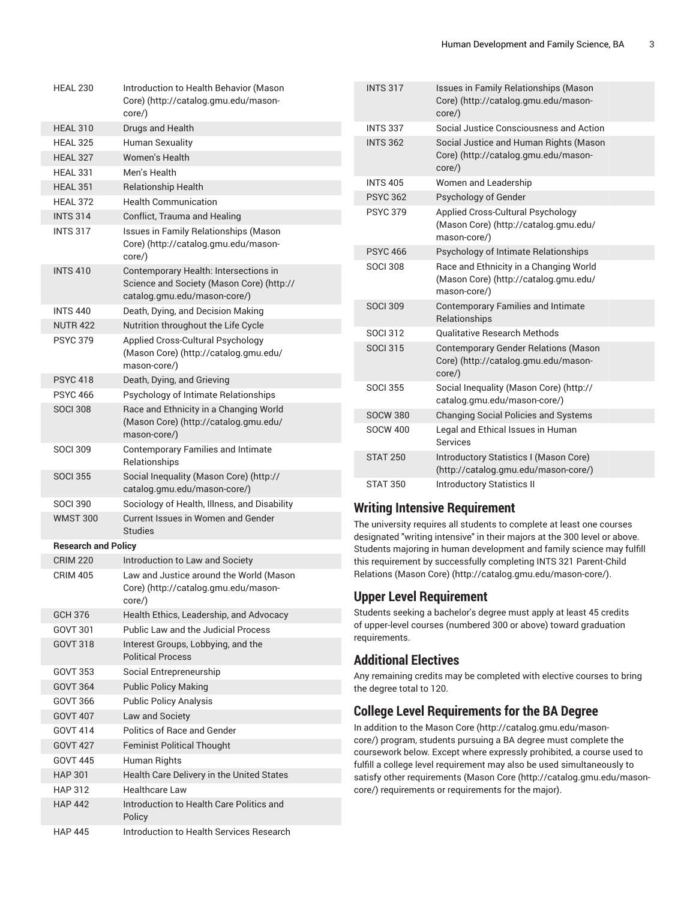| <b>HEAL 230</b>            | Introduction to Health Behavior (Mason<br>Core) (http://catalog.gmu.edu/mason-<br>core/)                           |
|----------------------------|--------------------------------------------------------------------------------------------------------------------|
| <b>HEAL 310</b>            | Drugs and Health                                                                                                   |
| <b>HEAL 325</b>            | <b>Human Sexuality</b>                                                                                             |
| <b>HEAL 327</b>            | Women's Health                                                                                                     |
| <b>HEAL 331</b>            | Men's Health                                                                                                       |
| <b>HEAL 351</b>            | <b>Relationship Health</b>                                                                                         |
| <b>HEAL 372</b>            | <b>Health Communication</b>                                                                                        |
| <b>INTS 314</b>            | Conflict, Trauma and Healing                                                                                       |
| <b>INTS 317</b>            | Issues in Family Relationships (Mason<br>Core) (http://catalog.gmu.edu/mason-<br>core/)                            |
| <b>INTS 410</b>            | Contemporary Health: Intersections in<br>Science and Society (Mason Core) (http://<br>catalog.gmu.edu/mason-core/) |
| <b>INTS 440</b>            | Death, Dying, and Decision Making                                                                                  |
| <b>NUTR 422</b>            | Nutrition throughout the Life Cycle                                                                                |
| <b>PSYC 379</b>            | Applied Cross-Cultural Psychology<br>(Mason Core) (http://catalog.gmu.edu/<br>mason-core/)                         |
| <b>PSYC 418</b>            | Death, Dying, and Grieving                                                                                         |
| <b>PSYC 466</b>            | Psychology of Intimate Relationships                                                                               |
| <b>SOCI 308</b>            | Race and Ethnicity in a Changing World<br>(Mason Core) (http://catalog.gmu.edu/<br>mason-core/)                    |
| <b>SOCI 309</b>            | <b>Contemporary Families and Intimate</b><br>Relationships                                                         |
| <b>SOCI 355</b>            | Social Inequality (Mason Core) (http://<br>catalog.gmu.edu/mason-core/)                                            |
| <b>SOCI 390</b>            | Sociology of Health, Illness, and Disability                                                                       |
| <b>WMST 300</b>            | Current Issues in Women and Gender<br><b>Studies</b>                                                               |
| <b>Research and Policy</b> |                                                                                                                    |
| <b>CRIM 220</b>            | Introduction to Law and Society                                                                                    |
| <b>CRIM 405</b>            | Law and Justice around the World (Mason<br>Core) (http://catalog.gmu.edu/mason-<br>core/)                          |
| GCH 376                    | Health Ethics, Leadership, and Advocacy                                                                            |
| GOVT 301                   | <b>Public Law and the Judicial Process</b>                                                                         |
| <b>GOVT 318</b>            | Interest Groups, Lobbying, and the<br><b>Political Process</b>                                                     |
| <b>GOVT 353</b>            | Social Entrepreneurship                                                                                            |
| <b>GOVT 364</b>            | <b>Public Policy Making</b>                                                                                        |
| GOVT 366                   | <b>Public Policy Analysis</b>                                                                                      |
| <b>GOVT 407</b>            | Law and Society                                                                                                    |
| <b>GOVT 414</b>            | Politics of Race and Gender                                                                                        |
| <b>GOVT 427</b>            | <b>Feminist Political Thought</b>                                                                                  |
| <b>GOVT 445</b>            | Human Rights                                                                                                       |
| <b>HAP 301</b>             | Health Care Delivery in the United States                                                                          |
| <b>HAP 312</b>             | <b>Healthcare Law</b>                                                                                              |
| <b>HAP 442</b>             | Introduction to Health Care Politics and<br>Policy                                                                 |
| <b>HAP 445</b>             | Introduction to Health Services Research                                                                           |

| <b>INTS 317</b> | Issues in Family Relationships (Mason<br>Core) (http://catalog.gmu.edu/mason-<br>$core$ )       |
|-----------------|-------------------------------------------------------------------------------------------------|
| <b>INTS 337</b> | Social Justice Consciousness and Action                                                         |
| <b>INTS 362</b> | Social Justice and Human Rights (Mason<br>Core) (http://catalog.gmu.edu/mason-<br>$core$ )      |
| <b>INTS 405</b> | Women and Leadership                                                                            |
| <b>PSYC 362</b> | Psychology of Gender                                                                            |
| <b>PSYC 379</b> | Applied Cross-Cultural Psychology<br>(Mason Core) (http://catalog.gmu.edu/<br>mason-core/)      |
| <b>PSYC 466</b> | Psychology of Intimate Relationships                                                            |
| <b>SOCI 308</b> | Race and Ethnicity in a Changing World<br>(Mason Core) (http://catalog.gmu.edu/<br>mason-core/) |
| <b>SOCI 309</b> | <b>Contemporary Families and Intimate</b><br>Relationships                                      |
| <b>SOCI 312</b> | <b>Oualitative Research Methods</b>                                                             |
| <b>SOCI 315</b> | <b>Contemporary Gender Relations (Mason</b><br>Core) (http://catalog.gmu.edu/mason-<br>$core$ ) |
| <b>SOCI 355</b> | Social Inequality (Mason Core) (http://<br>catalog.gmu.edu/mason-core/)                         |
| <b>SOCW 380</b> | <b>Changing Social Policies and Systems</b>                                                     |
| <b>SOCW 400</b> | Legal and Ethical Issues in Human<br>Services                                                   |
| <b>STAT 250</b> | Introductory Statistics I (Mason Core)<br>(http://catalog.gmu.edu/mason-core/)                  |
| <b>STAT 350</b> | <b>Introductory Statistics II</b>                                                               |

#### **Writing Intensive Requirement**

The university requires all students to complete at least one courses designated "writing intensive" in their majors at the 300 level or above. Students majoring in human development and family science may fulfill this requirement by successfully completing INTS 321 Parent-Child Relations [\(Mason](http://catalog.gmu.edu/mason-core/) Core) [\(http://catalog.gmu.edu/mason-core/](http://catalog.gmu.edu/mason-core/)).

#### **Upper Level Requirement**

Students seeking a bachelor's degree must apply at least 45 credits of upper-level courses (numbered 300 or above) toward graduation requirements.

#### **Additional Electives**

Any remaining credits may be completed with elective courses to bring the degree total to 120.

### **College Level Requirements for the BA Degree**

In addition to the [Mason](http://catalog.gmu.edu/mason-core/) Core [\(http://catalog.gmu.edu/mason](http://catalog.gmu.edu/mason-core/)[core/](http://catalog.gmu.edu/mason-core/)) program, students pursuing a BA degree must complete the coursework below. Except where expressly prohibited, a course used to fulfill a college level requirement may also be used simultaneously to satisfy other requirements ([Mason](http://catalog.gmu.edu/mason-core/) Core [\(http://catalog.gmu.edu/mason](http://catalog.gmu.edu/mason-core/)[core/](http://catalog.gmu.edu/mason-core/)) requirements or requirements for the major).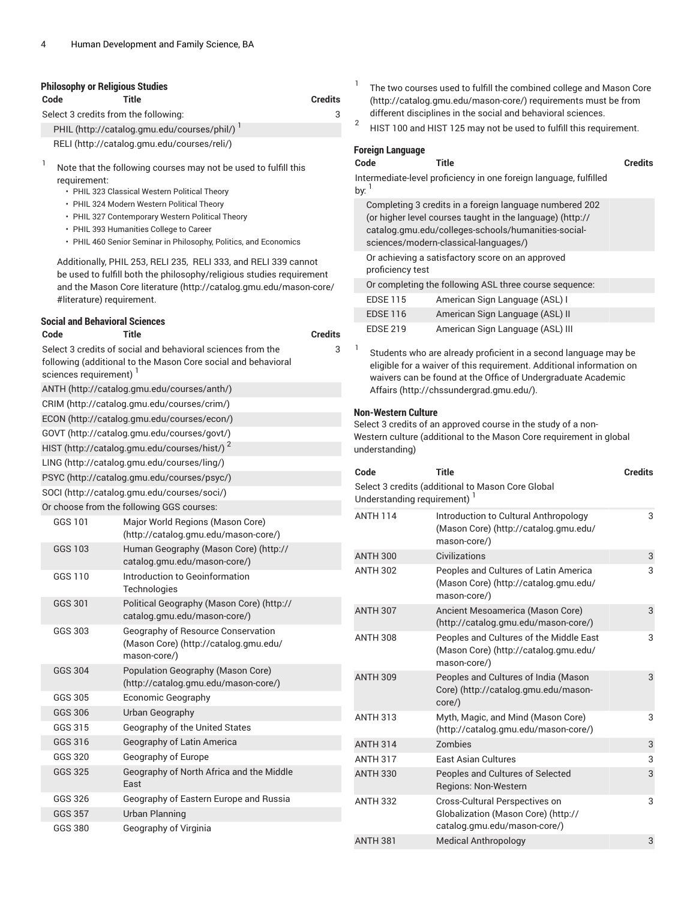| <b>Philosophy or Religious Studies</b><br>Code | Title                                                                                                                                                                                                         | <b>Credits</b> | 1                                       | The two courses used to fulfill the combined college and Mason Core<br>(http://catalog.gmu.edu/mason-core/) requirements must be from                                                                                |                |
|------------------------------------------------|---------------------------------------------------------------------------------------------------------------------------------------------------------------------------------------------------------------|----------------|-----------------------------------------|----------------------------------------------------------------------------------------------------------------------------------------------------------------------------------------------------------------------|----------------|
|                                                | Select 3 credits from the following:                                                                                                                                                                          | 3              | $\overline{2}$                          | different disciplines in the social and behavioral sciences.                                                                                                                                                         |                |
|                                                | PHIL (http://catalog.gmu.edu/courses/phil/)                                                                                                                                                                   |                |                                         | HIST 100 and HIST 125 may not be used to fulfill this requirement.                                                                                                                                                   |                |
|                                                | RELI (http://catalog.gmu.edu/courses/reli/)                                                                                                                                                                   |                | <b>Foreign Language</b>                 |                                                                                                                                                                                                                      |                |
| 1<br>requirement:                              | Note that the following courses may not be used to fulfill this<br>• PHIL 323 Classical Western Political Theory                                                                                              |                | Code<br>by: $1$                         | <b>Title</b><br>Intermediate-level proficiency in one foreign language, fulfilled                                                                                                                                    | <b>Credits</b> |
|                                                | • PHIL 324 Modern Western Political Theory<br>• PHIL 327 Contemporary Western Political Theory<br>• PHIL 393 Humanities College to Career<br>• PHIL 460 Senior Seminar in Philosophy, Politics, and Economics |                |                                         | Completing 3 credits in a foreign language numbered 202<br>(or higher level courses taught in the language) (http://<br>catalog.gmu.edu/colleges-schools/humanities-social-<br>sciences/modern-classical-languages/) |                |
|                                                | Additionally, PHIL 253, RELI 235, RELI 333, and RELI 339 cannot<br>be used to fulfill both the philosophy/religious studies requirement                                                                       |                | proficiency test                        | Or achieving a satisfactory score on an approved                                                                                                                                                                     |                |
|                                                | and the Mason Core literature (http://catalog.gmu.edu/mason-core/                                                                                                                                             |                |                                         | Or completing the following ASL three course sequence:                                                                                                                                                               |                |
| #literature) requirement.                      |                                                                                                                                                                                                               |                | <b>EDSE 115</b>                         | American Sign Language (ASL) I                                                                                                                                                                                       |                |
| <b>Social and Behavioral Sciences</b>          |                                                                                                                                                                                                               |                | <b>EDSE 116</b>                         | American Sign Language (ASL) II                                                                                                                                                                                      |                |
| Code                                           | <b>Title</b>                                                                                                                                                                                                  | <b>Credits</b> | <b>EDSE 219</b>                         | American Sign Language (ASL) III                                                                                                                                                                                     |                |
| sciences requirement) <sup>1</sup>             | Select 3 credits of social and behavioral sciences from the<br>following (additional to the Mason Core social and behavioral                                                                                  | 3              | 1                                       | Students who are already proficient in a second language may be<br>eligible for a waiver of this requirement. Additional information on<br>waivers can be found at the Office of Undergraduate Academic              |                |
|                                                | ANTH (http://catalog.gmu.edu/courses/anth/)                                                                                                                                                                   |                |                                         | Affairs (http://chssundergrad.gmu.edu/).                                                                                                                                                                             |                |
|                                                | CRIM (http://catalog.gmu.edu/courses/crim/)                                                                                                                                                                   |                | <b>Non-Western Culture</b>              |                                                                                                                                                                                                                      |                |
|                                                | ECON (http://catalog.gmu.edu/courses/econ/)                                                                                                                                                                   |                |                                         | Select 3 credits of an approved course in the study of a non-                                                                                                                                                        |                |
|                                                | GOVT (http://catalog.gmu.edu/courses/govt/)                                                                                                                                                                   |                |                                         | Western culture (additional to the Mason Core requirement in global                                                                                                                                                  |                |
|                                                | HIST (http://catalog.gmu.edu/courses/hist/) <sup>2</sup>                                                                                                                                                      |                | understanding)                          |                                                                                                                                                                                                                      |                |
|                                                | LING (http://catalog.gmu.edu/courses/ling/)                                                                                                                                                                   |                | Code                                    | <b>Title</b>                                                                                                                                                                                                         | <b>Credits</b> |
|                                                | PSYC (http://catalog.gmu.edu/courses/psyc/)<br>SOCI (http://catalog.gmu.edu/courses/soci/)                                                                                                                    |                |                                         | Select 3 credits (additional to Mason Core Global                                                                                                                                                                    |                |
|                                                | Or choose from the following GGS courses:                                                                                                                                                                     |                | Understanding requirement) <sup>1</sup> |                                                                                                                                                                                                                      |                |
| GGS 101                                        | Major World Regions (Mason Core)<br>(http://catalog.gmu.edu/mason-core/)                                                                                                                                      |                | <b>ANTH 114</b>                         | Introduction to Cultural Anthropology<br>(Mason Core) (http://catalog.gmu.edu/<br>mason-core/)                                                                                                                       | 3              |
| GGS 103                                        | Human Geography (Mason Core) (http://<br>catalog.gmu.edu/mason-core/)                                                                                                                                         |                | <b>ANTH 300</b>                         | Civilizations                                                                                                                                                                                                        | 3              |
| GGS 110                                        | Introduction to Geoinformation<br>Technologies                                                                                                                                                                |                | <b>ANTH 302</b>                         | Peoples and Cultures of Latin America<br>(Mason Core) (http://catalog.gmu.edu/<br>mason-core/)                                                                                                                       | 3              |
| <b>GGS 301</b>                                 | Political Geography (Mason Core) (http://<br>catalog.gmu.edu/mason-core/)                                                                                                                                     |                | <b>ANTH 307</b>                         | Ancient Mesoamerica (Mason Core)<br>(http://catalog.gmu.edu/mason-core/)                                                                                                                                             | 3              |
| GGS 303                                        | Geography of Resource Conservation<br>(Mason Core) (http://catalog.gmu.edu/<br>mason-core/)                                                                                                                   |                | <b>ANTH 308</b>                         | Peoples and Cultures of the Middle East<br>(Mason Core) (http://catalog.gmu.edu/<br>mason-core/)                                                                                                                     | 3              |
| <b>GGS 304</b>                                 | Population Geography (Mason Core)<br>(http://catalog.gmu.edu/mason-core/)                                                                                                                                     |                | <b>ANTH 309</b>                         | Peoples and Cultures of India (Mason<br>Core) (http://catalog.gmu.edu/mason-                                                                                                                                         | 3              |
| GGS 305                                        | Economic Geography                                                                                                                                                                                            |                |                                         | $core$ )                                                                                                                                                                                                             |                |
| GGS 306                                        | Urban Geography                                                                                                                                                                                               |                | <b>ANTH 313</b>                         | Myth, Magic, and Mind (Mason Core)                                                                                                                                                                                   | 3              |
| GGS 315                                        | Geography of the United States                                                                                                                                                                                |                |                                         | (http://catalog.gmu.edu/mason-core/)                                                                                                                                                                                 |                |
| GGS 316                                        | Geography of Latin America                                                                                                                                                                                    |                | <b>ANTH 314</b>                         | Zombies                                                                                                                                                                                                              | 3              |
| GGS 320                                        | Geography of Europe                                                                                                                                                                                           |                | <b>ANTH 317</b>                         | <b>East Asian Cultures</b>                                                                                                                                                                                           | 3              |
| GGS 325                                        | Geography of North Africa and the Middle<br>East                                                                                                                                                              |                | <b>ANTH 330</b>                         | Peoples and Cultures of Selected<br>Regions: Non-Western                                                                                                                                                             | 3              |
| GGS 326                                        | Geography of Eastern Europe and Russia                                                                                                                                                                        |                | <b>ANTH 332</b>                         | Cross-Cultural Perspectives on                                                                                                                                                                                       | 3              |
| <b>GGS 357</b>                                 | <b>Urban Planning</b>                                                                                                                                                                                         |                |                                         | Globalization (Mason Core) (http://<br>catalog.gmu.edu/mason-core/)                                                                                                                                                  |                |
| <b>GGS 380</b>                                 | Geography of Virginia                                                                                                                                                                                         |                |                                         |                                                                                                                                                                                                                      |                |

ANTH 381 Medical Anthropology 3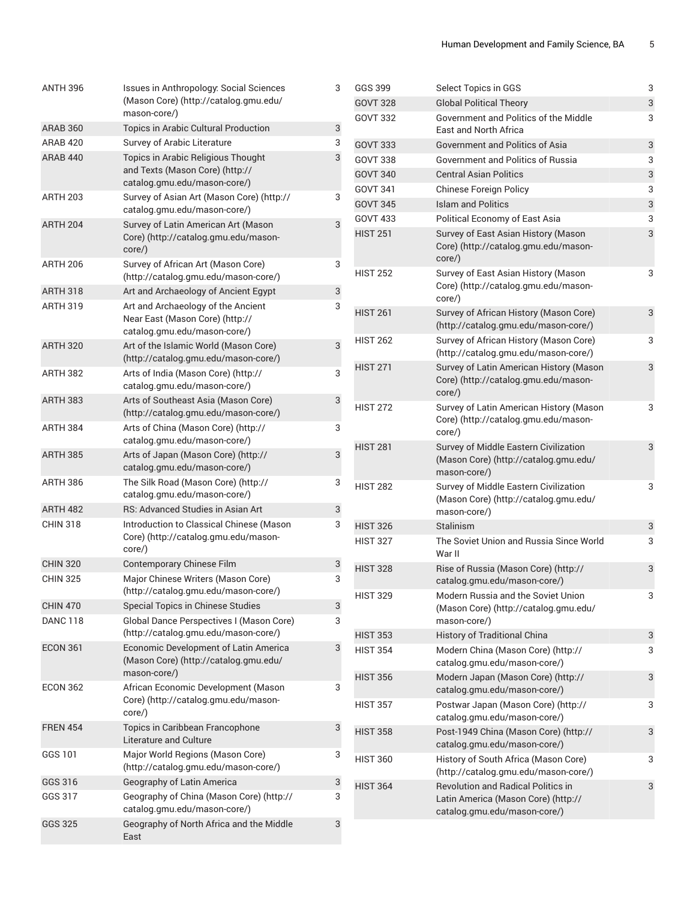| <b>ANTH 396</b> | <b>Issues in Anthropology: Social Sciences</b><br>(Mason Core) (http://catalog.gmu.edu/<br>mason-core/) | 3 |
|-----------------|---------------------------------------------------------------------------------------------------------|---|
| <b>ARAB 360</b> | Topics in Arabic Cultural Production                                                                    | 3 |
| ARAB 420        | Survey of Arabic Literature                                                                             | 3 |
| <b>ARAB 440</b> | Topics in Arabic Religious Thought<br>and Texts (Mason Core) (http://<br>catalog.gmu.edu/mason-core/)   | 3 |
| <b>ARTH 203</b> | Survey of Asian Art (Mason Core) (http://<br>catalog.gmu.edu/mason-core/)                               | 3 |
| <b>ARTH 204</b> | Survey of Latin American Art (Mason<br>Core) (http://catalog.gmu.edu/mason-<br>core/)                   | 3 |
| <b>ARTH 206</b> | Survey of African Art (Mason Core)<br>(http://catalog.gmu.edu/mason-core/)                              | 3 |
| <b>ARTH 318</b> | Art and Archaeology of Ancient Egypt                                                                    | 3 |
| <b>ARTH 319</b> | Art and Archaeology of the Ancient<br>Near East (Mason Core) (http://<br>catalog.gmu.edu/mason-core/)   | 3 |
| <b>ARTH 320</b> | Art of the Islamic World (Mason Core)<br>(http://catalog.gmu.edu/mason-core/)                           | 3 |
| <b>ARTH 382</b> | Arts of India (Mason Core) (http://<br>catalog.gmu.edu/mason-core/)                                     | 3 |
| <b>ARTH 383</b> | Arts of Southeast Asia (Mason Core)<br>(http://catalog.gmu.edu/mason-core/)                             | 3 |
| ARTH 384        | Arts of China (Mason Core) (http://<br>catalog.gmu.edu/mason-core/)                                     | 3 |
| <b>ARTH 385</b> | Arts of Japan (Mason Core) (http://<br>catalog.gmu.edu/mason-core/)                                     | 3 |
| ARTH 386        | The Silk Road (Mason Core) (http://<br>catalog.gmu.edu/mason-core/)                                     | 3 |
| <b>ARTH 482</b> | RS: Advanced Studies in Asian Art                                                                       | 3 |
| <b>CHIN 318</b> | Introduction to Classical Chinese (Mason<br>Core) (http://catalog.gmu.edu/mason-<br>core/)              | 3 |
| <b>CHIN 320</b> | Contemporary Chinese Film                                                                               | 3 |
| <b>CHIN 325</b> | Major Chinese Writers (Mason Core)<br>(http://catalog.gmu.edu/mason-core/)                              | 3 |
| <b>CHIN 470</b> | Special Topics in Chinese Studies                                                                       | 3 |
| <b>DANC 118</b> | Global Dance Perspectives I (Mason Core)<br>(http://catalog.gmu.edu/mason-core/)                        | 3 |
| <b>ECON 361</b> | Economic Development of Latin America<br>(Mason Core) (http://catalog.gmu.edu/<br>mason-core/)          | 3 |
| <b>ECON 362</b> | African Economic Development (Mason<br>Core) (http://catalog.gmu.edu/mason-<br>core/)                   | 3 |
| <b>FREN 454</b> | Topics in Caribbean Francophone<br>Literature and Culture                                               | 3 |
| GGS 101         | Major World Regions (Mason Core)<br>(http://catalog.gmu.edu/mason-core/)                                | 3 |
| GGS 316         | Geography of Latin America                                                                              | 3 |
| GGS 317         | Geography of China (Mason Core) (http://<br>catalog.gmu.edu/mason-core/)                                | 3 |
| GGS 325         | Geography of North Africa and the Middle<br>East                                                        | 3 |

| GGS 399         | Select Topics in GGS                                                                                             | 3 |
|-----------------|------------------------------------------------------------------------------------------------------------------|---|
| <b>GOVT 328</b> | <b>Global Political Theory</b>                                                                                   | 3 |
| <b>GOVT 332</b> | Government and Politics of the Middle<br>East and North Africa                                                   | 3 |
| <b>GOVT 333</b> | <b>Government and Politics of Asia</b>                                                                           | 3 |
| <b>GOVT 338</b> | Government and Politics of Russia                                                                                | 3 |
| <b>GOVT 340</b> | <b>Central Asian Politics</b>                                                                                    | 3 |
| <b>GOVT 341</b> | <b>Chinese Foreign Policy</b>                                                                                    | 3 |
| <b>GOVT 345</b> | <b>Islam and Politics</b>                                                                                        | 3 |
| <b>GOVT 433</b> | Political Economy of East Asia                                                                                   | 3 |
| <b>HIST 251</b> | Survey of East Asian History (Mason<br>Core) (http://catalog.gmu.edu/mason-<br>core/)                            | 3 |
| <b>HIST 252</b> | Survey of East Asian History (Mason<br>Core) (http://catalog.gmu.edu/mason-<br>core/)                            | 3 |
| <b>HIST 261</b> | Survey of African History (Mason Core)<br>(http://catalog.gmu.edu/mason-core/)                                   | 3 |
| <b>HIST 262</b> | Survey of African History (Mason Core)<br>(http://catalog.gmu.edu/mason-core/)                                   | 3 |
| <b>HIST 271</b> | Survey of Latin American History (Mason<br>Core) (http://catalog.gmu.edu/mason-<br>core/)                        | 3 |
| <b>HIST 272</b> | Survey of Latin American History (Mason<br>Core) (http://catalog.gmu.edu/mason-<br>core/)                        | 3 |
| <b>HIST 281</b> | Survey of Middle Eastern Civilization<br>(Mason Core) (http://catalog.gmu.edu/<br>mason-core/)                   | 3 |
| <b>HIST 282</b> | Survey of Middle Eastern Civilization<br>(Mason Core) (http://catalog.gmu.edu/<br>mason-core/)                   | 3 |
| <b>HIST 326</b> | <b>Stalinism</b>                                                                                                 | 3 |
| <b>HIST 327</b> | The Soviet Union and Russia Since World<br>War II                                                                | 3 |
| <b>HIST 328</b> | Rise of Russia (Mason Core) (http://<br>catalog.gmu.edu/mason-core/)                                             | 3 |
| <b>HIST 329</b> | Modern Russia and the Soviet Union<br>(Mason Core) (http://catalog.gmu.edu/<br>mason-core/)                      | 3 |
| <b>HIST 353</b> | <b>History of Traditional China</b>                                                                              | 3 |
| <b>HIST 354</b> | Modern China (Mason Core) (http://<br>catalog.gmu.edu/mason-core/)                                               | 3 |
| <b>HIST 356</b> | Modern Japan (Mason Core) (http://<br>catalog.gmu.edu/mason-core/)                                               | 3 |
| <b>HIST 357</b> | Postwar Japan (Mason Core) (http://<br>catalog.gmu.edu/mason-core/)                                              | 3 |
| <b>HIST 358</b> | Post-1949 China (Mason Core) (http://<br>catalog.gmu.edu/mason-core/)                                            | 3 |
| <b>HIST 360</b> | History of South Africa (Mason Core)<br>(http://catalog.gmu.edu/mason-core/)                                     | 3 |
| <b>HIST 364</b> | <b>Revolution and Radical Politics in</b><br>Latin America (Mason Core) (http://<br>catalog.gmu.edu/mason-core/) | 3 |
|                 |                                                                                                                  |   |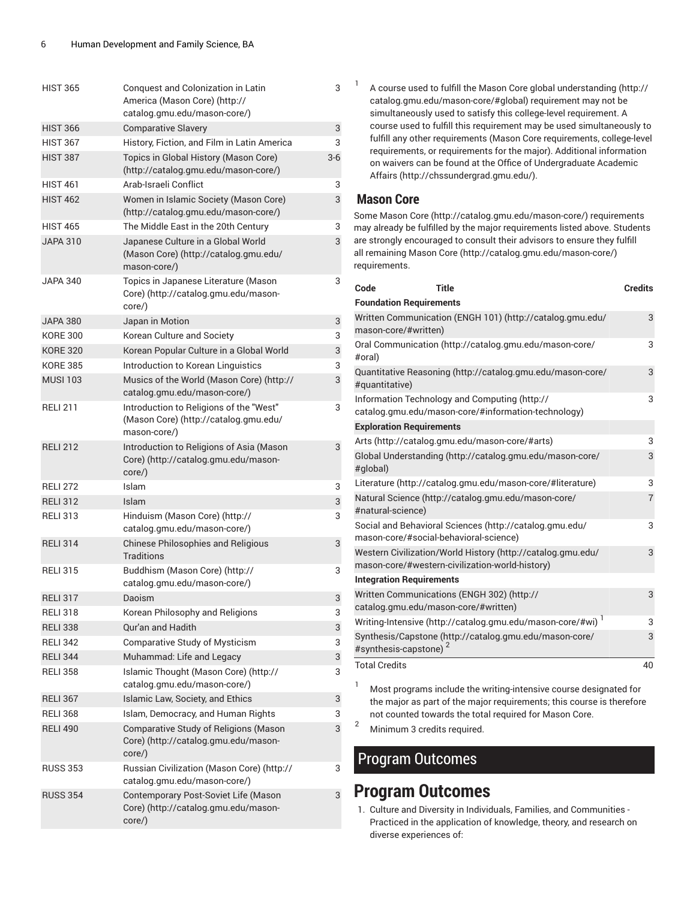| <b>HIST 365</b> | Conquest and Colonization in Latin<br>America (Mason Core) (http://<br>catalog.gmu.edu/mason-core/) | 3     |
|-----------------|-----------------------------------------------------------------------------------------------------|-------|
| <b>HIST 366</b> | <b>Comparative Slavery</b>                                                                          | 3     |
| <b>HIST 367</b> | History, Fiction, and Film in Latin America                                                         | 3     |
| <b>HIST 387</b> | Topics in Global History (Mason Core)<br>(http://catalog.gmu.edu/mason-core/)                       | $3-6$ |
| <b>HIST 461</b> | Arab-Israeli Conflict                                                                               | 3     |
| <b>HIST 462</b> | Women in Islamic Society (Mason Core)<br>(http://catalog.gmu.edu/mason-core/)                       | 3     |
| <b>HIST 465</b> | The Middle East in the 20th Century                                                                 | 3     |
| <b>JAPA 310</b> | Japanese Culture in a Global World<br>(Mason Core) (http://catalog.gmu.edu/<br>mason-core/)         | 3     |
| <b>JAPA 340</b> | Topics in Japanese Literature (Mason<br>Core) (http://catalog.gmu.edu/mason-<br>core/)              | 3     |
| <b>JAPA 380</b> | Japan in Motion                                                                                     | 3     |
| <b>KORE 300</b> | Korean Culture and Society                                                                          | 3     |
| <b>KORE 320</b> | Korean Popular Culture in a Global World                                                            | 3     |
| <b>KORE 385</b> | Introduction to Korean Linguistics                                                                  | 3     |
| <b>MUSI 103</b> | Musics of the World (Mason Core) (http://<br>catalog.gmu.edu/mason-core/)                           | 3     |
| <b>RELI 211</b> | Introduction to Religions of the "West"<br>(Mason Core) (http://catalog.gmu.edu/<br>mason-core/)    | 3     |
| <b>RELI 212</b> | Introduction to Religions of Asia (Mason<br>Core) (http://catalog.gmu.edu/mason-<br>core/)          | 3     |
| <b>RELI 272</b> | Islam                                                                                               | 3     |
| <b>RELI 312</b> | Islam                                                                                               | 3     |
| <b>RELI 313</b> | Hinduism (Mason Core) (http://<br>catalog.gmu.edu/mason-core/)                                      | 3     |
| <b>RELI 314</b> | <b>Chinese Philosophies and Religious</b><br>Traditions                                             | 3     |
| <b>RELI 315</b> | Buddhism (Mason Core) (http://<br>catalog.gmu.edu/mason-core/)                                      | 3     |
| <b>RELI 317</b> | Daoism                                                                                              | 3     |
| <b>RELI318</b>  | Korean Philosophy and Religions                                                                     | 3     |
| <b>RELI 338</b> | Qur'an and Hadith                                                                                   | 3     |
| <b>RELI 342</b> | <b>Comparative Study of Mysticism</b>                                                               | 3     |
| <b>RELI 344</b> | Muhammad: Life and Legacy                                                                           | 3     |
| <b>RELI 358</b> | Islamic Thought (Mason Core) (http://<br>catalog.gmu.edu/mason-core/)                               | 3     |
| <b>RELI 367</b> | Islamic Law, Society, and Ethics                                                                    | 3     |
| <b>RELI 368</b> | Islam, Democracy, and Human Rights                                                                  | 3     |
| <b>RELI 490</b> | Comparative Study of Religions (Mason<br>Core) (http://catalog.gmu.edu/mason-<br>$core$ )           | 3     |
| <b>RUSS 353</b> | Russian Civilization (Mason Core) (http://<br>catalog.gmu.edu/mason-core/)                          | 3     |
| <b>RUSS 354</b> | Contemporary Post-Soviet Life (Mason<br>Core) (http://catalog.gmu.edu/mason-<br>$core$ )            | 3     |

1 A course used to fulfill the Mason Core global [understanding \(http://](http://catalog.gmu.edu/mason-core/#global) [catalog.gmu.edu/mason-core/#global](http://catalog.gmu.edu/mason-core/#global)) requirement may not be simultaneously used to satisfy this college-level requirement. A course used to fulfill this requirement may be used simultaneously to fulfill any other requirements (Mason Core requirements, college-level requirements, or requirements for the major). Additional information on waivers can be found at the Office of [Undergraduate](http://chssundergrad.gmu.edu/) Academic [Affairs \(http://chssundergrad.gmu.edu/](http://chssundergrad.gmu.edu/)).

#### **Mason Core**

Some [Mason](http://catalog.gmu.edu/mason-core/) Core ([http://catalog.gmu.edu/mason-core/\)](http://catalog.gmu.edu/mason-core/) requirements may already be fulfilled by the major requirements listed above. Students are strongly encouraged to consult their advisors to ensure they fulfill all remaining [Mason](http://catalog.gmu.edu/mason-core/) Core [\(http://catalog.gmu.edu/mason-core/](http://catalog.gmu.edu/mason-core/)) requirements.

| Code                            | <b>Title</b>                                                                                                   | <b>Credits</b> |
|---------------------------------|----------------------------------------------------------------------------------------------------------------|----------------|
| <b>Foundation Requirements</b>  |                                                                                                                |                |
| mason-core/#written)            | Written Communication (ENGH 101) (http://catalog.gmu.edu/                                                      | 3              |
| #oral)                          | Oral Communication (http://catalog.gmu.edu/mason-core/                                                         | 3              |
| #quantitative)                  | Quantitative Reasoning (http://catalog.gmu.edu/mason-core/                                                     | 3              |
|                                 | Information Technology and Computing (http://<br>catalog.gmu.edu/mason-core/#information-technology)           | 3              |
| <b>Exploration Requirements</b> |                                                                                                                |                |
|                                 | Arts (http://catalog.gmu.edu/mason-core/#arts)                                                                 | 3              |
| #global)                        | Global Understanding (http://catalog.gmu.edu/mason-core/                                                       | 3              |
|                                 | Literature (http://catalog.gmu.edu/mason-core/#literature)                                                     | 3              |
| #natural-science)               | Natural Science (http://catalog.gmu.edu/mason-core/                                                            | $\overline{7}$ |
|                                 | Social and Behavioral Sciences (http://catalog.gmu.edu/<br>mason-core/#social-behavioral-science)              | 3              |
|                                 | Western Civilization/World History (http://catalog.gmu.edu/<br>mason-core/#western-civilization-world-history) | 3              |
| <b>Integration Requirements</b> |                                                                                                                |                |
|                                 | Written Communications (ENGH 302) (http://<br>catalog.gmu.edu/mason-core/#written)                             | 3              |
|                                 | Writing-Intensive (http://catalog.gmu.edu/mason-core/#wi) <sup>1</sup>                                         | 3              |
| #synthesis-capstone)            | Synthesis/Capstone (http://catalog.gmu.edu/mason-core/                                                         | 3              |
| <b>Total Credits</b>            |                                                                                                                | 40             |
|                                 |                                                                                                                |                |

<sup>1</sup> Most programs include the writing-intensive course designated for the major as part of the major requirements; this course is therefore not counted towards the total required for Mason Core.

<sup>2</sup> Minimum <sup>3</sup> credits required.

### Program Outcomes

### **Program Outcomes**

1. Culture and Diversity in Individuals, Families, and Communities - Practiced in the application of knowledge, theory, and research on diverse experiences of: